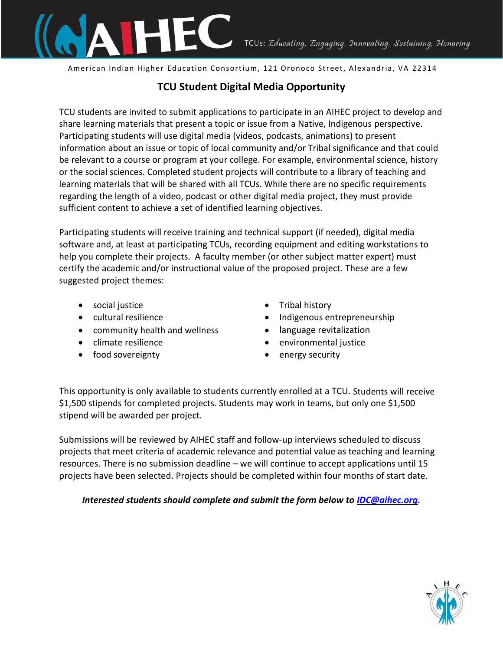

American Indian Higher Education Consortium, 121 Oronoco Street, Alexandria, VA 22314

## **TCU Student Digital Media Opportunity**

TCU students are invited to submit applications to participate in an AIHEC project to develop and share learning materials that present a topic or issue from a Native, Indigenous perspective. Participating students will use digital media (videos, podcasts, animations) to present information about an issue or topic of local community and/or Tribal significance and that could be relevant to a course or program at your college. For example, environmental science, history or the social sciences. Completed student projects will contribute to a library of teaching and learning materials that will be shared with all TCUs. While there are no specific requirements regarding the length of a video, podcast or other digital media project, they must provide sufficient content to achieve a set of identified learning objectives.

Participating students will receive training and technical support (if needed), digital media software and, at least at participating TCUs, recording equipment and editing workstations to help you complete their projects. A faculty member (or other subject matter expert) must certify the academic and/or instructional value of the proposed project. These are a few suggested project themes:

- social justice
- cultural resilience
- community health and wellness
- climate resilience
- food sovereignty
- Tribal history
- Indigenous entrepreneurship
- language revitalization
- environmental justice
- energy security

This opportunity is only available to students currently enrolled at a TCU. Students will receive \$1,500 stipends for completed projects. Students may work in teams, but only one \$1,500 stipend will be awarded per project.

Submissions will be reviewed by AIHEC staff and follow-up interviews scheduled to discuss projects that meet criteria of academic relevance and potential value as teaching and learning resources. There is no submission deadline – we will continue to accept applications until 15 projects have been selected. Projects should be completed within four months of start date.

*Interested students should complete and submit the form below to IDC@aihec.org.*